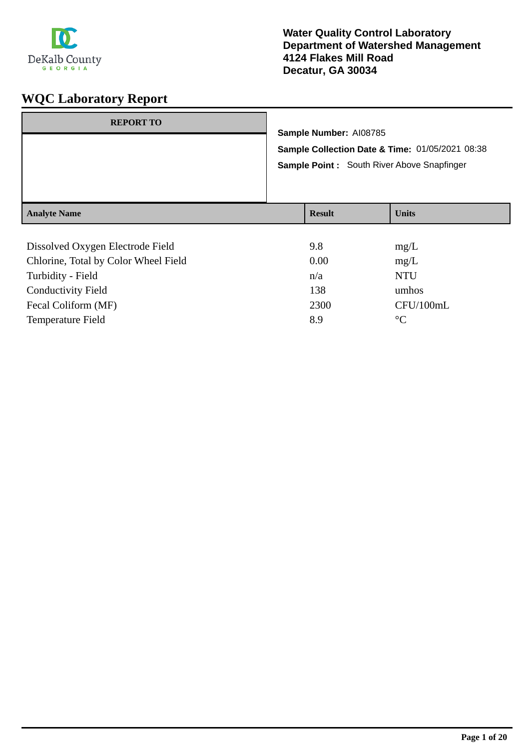

| <b>REPORT TO</b>                                                         | Sample Number: AI08785<br>Sample Collection Date & Time: 01/05/2021 08:38<br>Sample Point: South River Above Snapfinger |               |              |
|--------------------------------------------------------------------------|-------------------------------------------------------------------------------------------------------------------------|---------------|--------------|
| <b>Analyte Name</b>                                                      |                                                                                                                         | <b>Result</b> | <b>Units</b> |
| Dissolved Oxygen Electrode Field<br>Chlorine, Total by Color Wheel Field |                                                                                                                         | 9.8<br>0.00   | mg/L<br>mg/L |

| CHIOHIE, TOtal by COIOI WHEEL FIERD | v.vv | IIIZ/L     |
|-------------------------------------|------|------------|
| Turbidity - Field                   | n/a  | <b>NTU</b> |
| Conductivity Field                  | 138  | umhos      |
| Fecal Coliform (MF)                 | 2300 | CFU/100mL  |
| <b>Temperature Field</b>            | 8.9  | $\circ$ C  |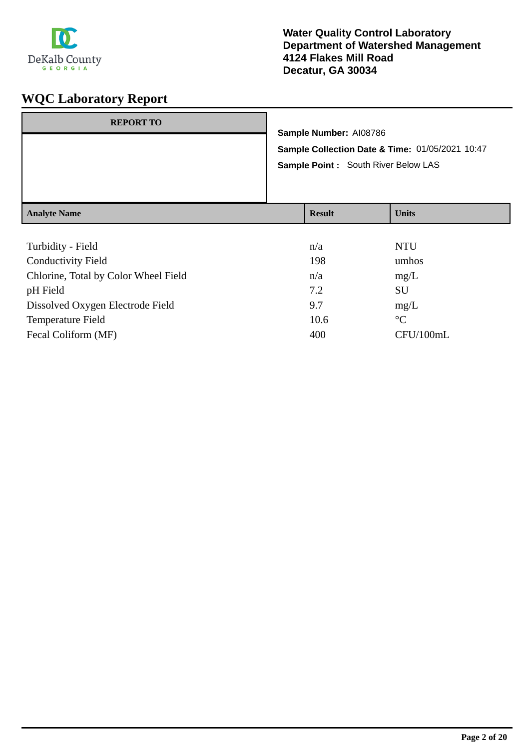

| <b>REPORT TO</b>    | Sample Number: AI08786 | Sample Collection Date & Time: 01/05/2021 10:47<br>Sample Point : South River Below LAS |
|---------------------|------------------------|-----------------------------------------------------------------------------------------|
| <b>Analyte Name</b> | <b>Result</b>          | <b>Units</b>                                                                            |

| Turbidity - Field                    | n/a  | <b>NTU</b>      |
|--------------------------------------|------|-----------------|
| <b>Conductivity Field</b>            | 198  | umhos           |
| Chlorine, Total by Color Wheel Field | n/a  | mg/L            |
| pH Field                             | 7.2  | SU              |
| Dissolved Oxygen Electrode Field     | 9.7  | mg/L            |
| <b>Temperature Field</b>             | 10.6 | $\rm ^{\circ}C$ |
| Fecal Coliform (MF)                  | 400  | CFU/100mL       |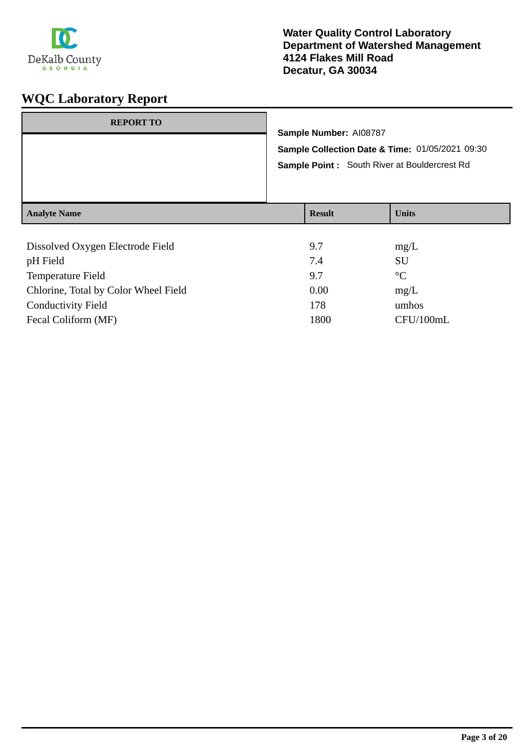

| <b>REPORT TO</b>                 |                                                                                                                           |              |  |  |  |
|----------------------------------|---------------------------------------------------------------------------------------------------------------------------|--------------|--|--|--|
|                                  | Sample Number: AI08787<br>Sample Collection Date & Time: 01/05/2021 09:30<br>Sample Point: South River at Bouldercrest Rd |              |  |  |  |
|                                  |                                                                                                                           |              |  |  |  |
|                                  |                                                                                                                           |              |  |  |  |
| <b>Analyte Name</b>              | <b>Result</b>                                                                                                             | <b>Units</b> |  |  |  |
| Dissolved Oxygen Electrode Field | 9.7                                                                                                                       | mg/L         |  |  |  |

| $P_{10001}$ , ea $O_{11}$ , gen Eieen oae 1 iera | -    | $\mathbf{u}$    |
|--------------------------------------------------|------|-----------------|
| pH Field                                         | 7.4  | SU              |
| Temperature Field                                | 9.7  | $\rm ^{\circ}C$ |
| Chlorine, Total by Color Wheel Field             | 0.00 | mg/L            |
| <b>Conductivity Field</b>                        | 178  | umhos           |
| Fecal Coliform (MF)                              | 1800 | CFU/100mL       |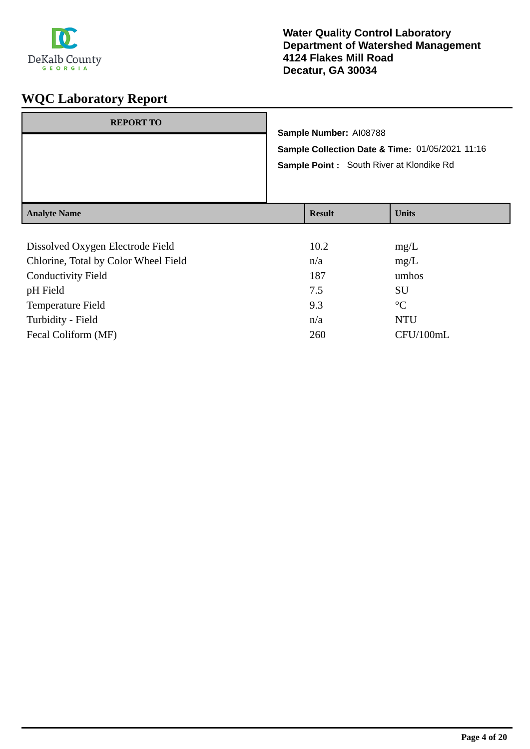

| <b>REPORT TO</b>    | Sample Number: AI08788<br>Sample Point: South River at Klondike Rd | Sample Collection Date & Time: 01/05/2021 11:16 |
|---------------------|--------------------------------------------------------------------|-------------------------------------------------|
| <b>Analyte Name</b> | <b>Result</b>                                                      | <b>Units</b>                                    |

| Dissolved Oxygen Electrode Field     | 10.2 | mg/L            |
|--------------------------------------|------|-----------------|
| Chlorine, Total by Color Wheel Field | n/a  | mg/L            |
| <b>Conductivity Field</b>            | 187  | umhos           |
| pH Field                             | 7.5  | <b>SU</b>       |
| Temperature Field                    | 9.3  | $\rm ^{\circ}C$ |
| Turbidity - Field                    | n/a  | <b>NTU</b>      |
| Fecal Coliform (MF)                  | 260  | CFU/100mL       |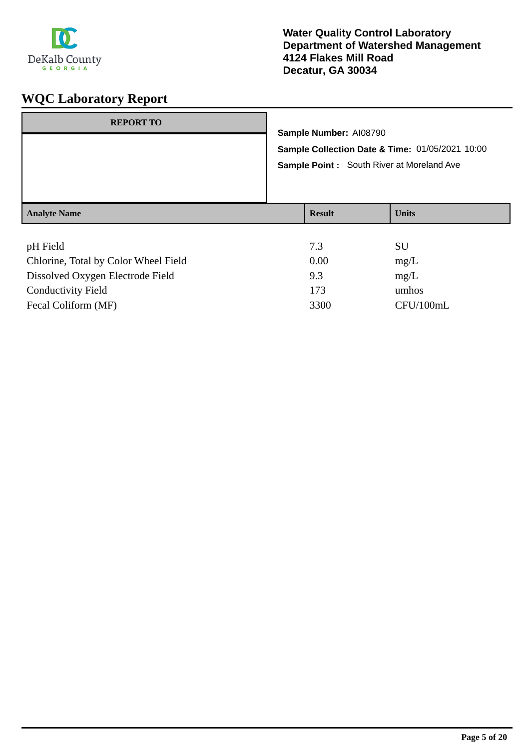

| <b>REPORT TO</b>    | Sample Number: AI08790<br>Sample Collection Date & Time: 01/05/2021 10:00<br>Sample Point: South River at Moreland Ave |               |              |
|---------------------|------------------------------------------------------------------------------------------------------------------------|---------------|--------------|
| <b>Analyte Name</b> |                                                                                                                        | <b>Result</b> | <b>Units</b> |
| nH Field            |                                                                                                                        | 73            | <b>SII</b>   |

| pH Field                             | 7.3  | SU        |
|--------------------------------------|------|-----------|
| Chlorine, Total by Color Wheel Field | 0.00 | mg/L      |
| Dissolved Oxygen Electrode Field     | 9.3  | mg/L      |
| <b>Conductivity Field</b>            | 173  | umhos     |
| Fecal Coliform (MF)                  | 3300 | CFU/100mL |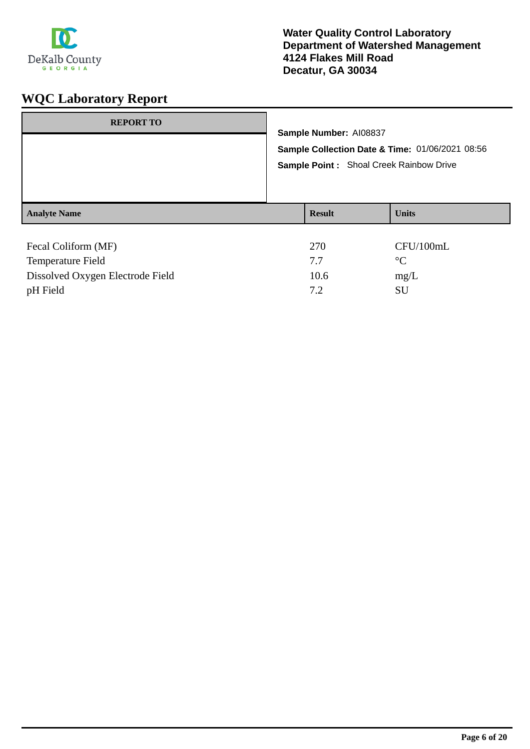

| <b>REPORT TO</b>                         | Sample Number: AI08837<br>Sample Collection Date & Time: 01/06/2021 08:56<br>Sample Point : Shoal Creek Rainbow Drive |               |                              |
|------------------------------------------|-----------------------------------------------------------------------------------------------------------------------|---------------|------------------------------|
|                                          |                                                                                                                       |               |                              |
| <b>Analyte Name</b>                      |                                                                                                                       | <b>Result</b> | <b>Units</b>                 |
| Fecal Coliform (MF)<br>Temperature Field |                                                                                                                       | 270<br>7.7    | CFU/100mL<br>$\rm ^{\circ}C$ |

Dissolved Oxygen Electrode Field 10.6 mg/L pH Field SU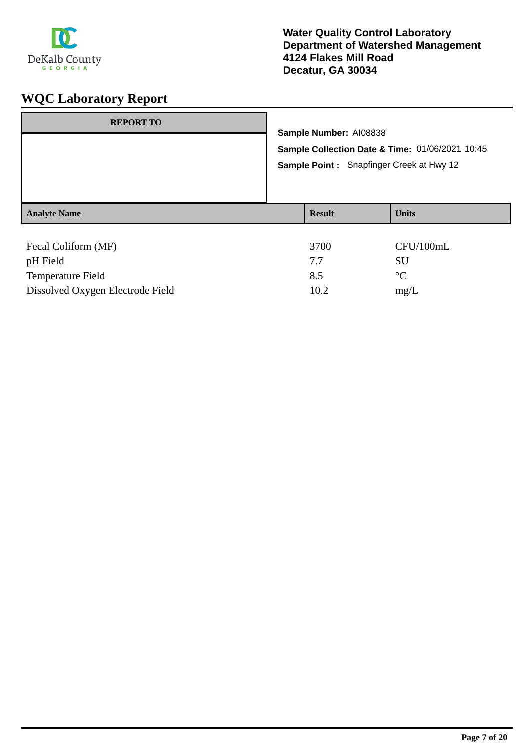

| <b>REPORT TO</b>                                     | Sample Number: AI08838<br>Sample Collection Date & Time: 01/06/2021 10:45<br>Sample Point: Snapfinger Creek at Hwy 12 |                    |                                           |
|------------------------------------------------------|-----------------------------------------------------------------------------------------------------------------------|--------------------|-------------------------------------------|
| <b>Analyte Name</b>                                  |                                                                                                                       | <b>Result</b>      | <b>Units</b>                              |
| Fecal Coliform (MF)<br>pH Field<br>Temperature Field |                                                                                                                       | 3700<br>7.7<br>8.5 | CFU/100mL<br><b>SU</b><br>$\rm ^{\circ}C$ |

Dissolved Oxygen Electrode Field 10.2 mg/L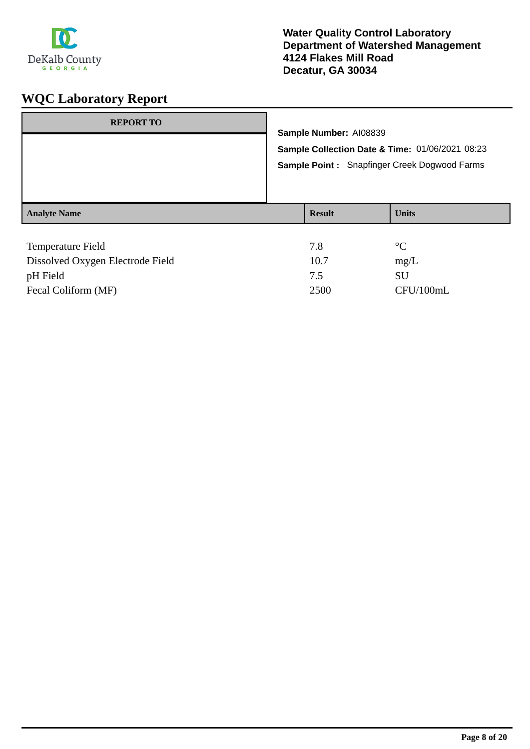

| <b>REPORT TO</b>         | Sample Number: AI08839<br>Sample Collection Date & Time: 01/06/2021 08:23<br><b>Sample Point: Snapfinger Creek Dogwood Farms</b> |               |                 |
|--------------------------|----------------------------------------------------------------------------------------------------------------------------------|---------------|-----------------|
| <b>Analyte Name</b>      |                                                                                                                                  | <b>Result</b> | <b>Units</b>    |
| <b>Temperature Field</b> |                                                                                                                                  | 7.8           | $\rm ^{\circ}C$ |

| <b>ICILIPCIALUIC L'ICIU</b>      | 1.0  |           |
|----------------------------------|------|-----------|
| Dissolved Oxygen Electrode Field | 10.7 | mg/L      |
| pH Field                         | 7.5  | SU        |
| Fecal Coliform (MF)              | 2500 | CFU/100mL |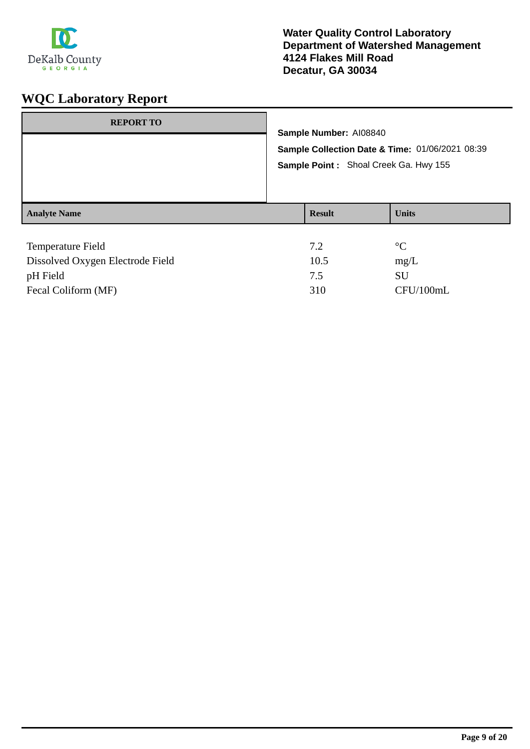

| <b>REPORT TO</b>         | Sample Number: AI08840<br>Sample Collection Date & Time: 01/06/2021 08:39<br>Sample Point: Shoal Creek Ga. Hwy 155 |               |                 |
|--------------------------|--------------------------------------------------------------------------------------------------------------------|---------------|-----------------|
| <b>Analyte Name</b>      |                                                                                                                    | <b>Result</b> | <b>Units</b>    |
| <b>Temperature Field</b> |                                                                                                                    | 7.2           | $\rm ^{\circ}C$ |

| Dissolved Oxygen Electrode Field | 10.5 | mg/L      |
|----------------------------------|------|-----------|
| pH Field                         |      | SU        |
| Fecal Coliform (MF)              | 310  | CFU/100mL |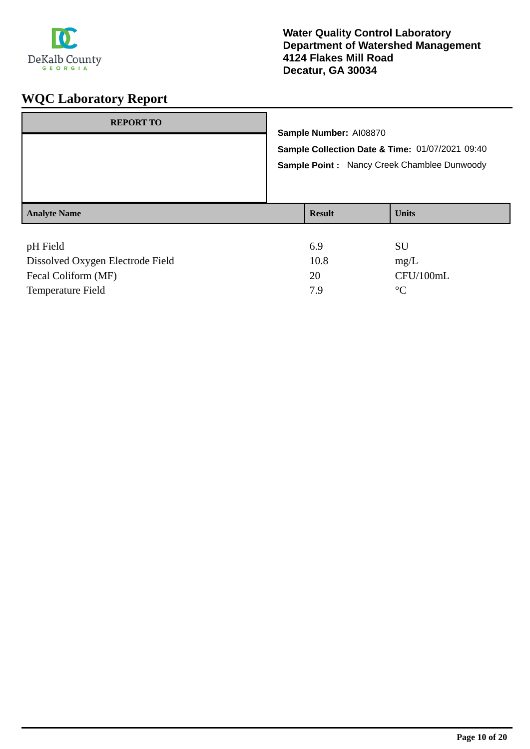

| <b>REPORT TO</b>    | Sample Number: AI08870<br>Sample Collection Date & Time: 01/07/2021 09:40<br>Sample Point: Nancy Creek Chamblee Dunwoody |               |              |
|---------------------|--------------------------------------------------------------------------------------------------------------------------|---------------|--------------|
| <b>Analyte Name</b> |                                                                                                                          | <b>Result</b> | <b>Units</b> |
| <b>TT TT: 11</b>    |                                                                                                                          | $\sim$ $\sim$ | $\sim$ T T   |

| pH Field                         | 6.9  | SU             |
|----------------------------------|------|----------------|
| Dissolved Oxygen Electrode Field | 10.8 | mg/L           |
| Fecal Coliform (MF)              | 20   | CFU/100mL      |
| Temperature Field                | 7 Q  | $\circ$ $\sim$ |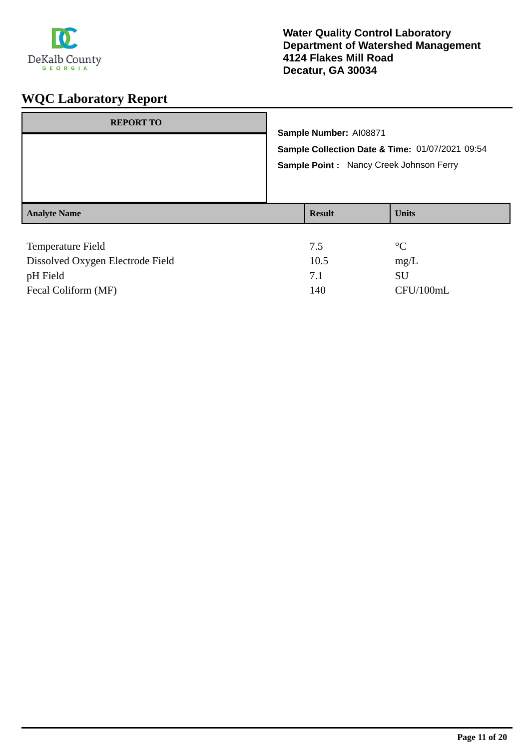

| <b>REPORT TO</b>    | Sample Number: AI08871<br>Sample Collection Date & Time: 01/07/2021 09:54<br>Sample Point: Nancy Creek Johnson Ferry |               |                 |
|---------------------|----------------------------------------------------------------------------------------------------------------------|---------------|-----------------|
| <b>Analyte Name</b> |                                                                                                                      | <b>Result</b> | <b>Units</b>    |
| Temperature Field   |                                                                                                                      | 7.5           | $\rm ^{\circ}C$ |

| Dissolved Oxygen Electrode Field | 10.5 | mg/L      |
|----------------------------------|------|-----------|
| pH Field                         |      | SU        |
| Fecal Coliform (MF)              | 140  | CFU/100mL |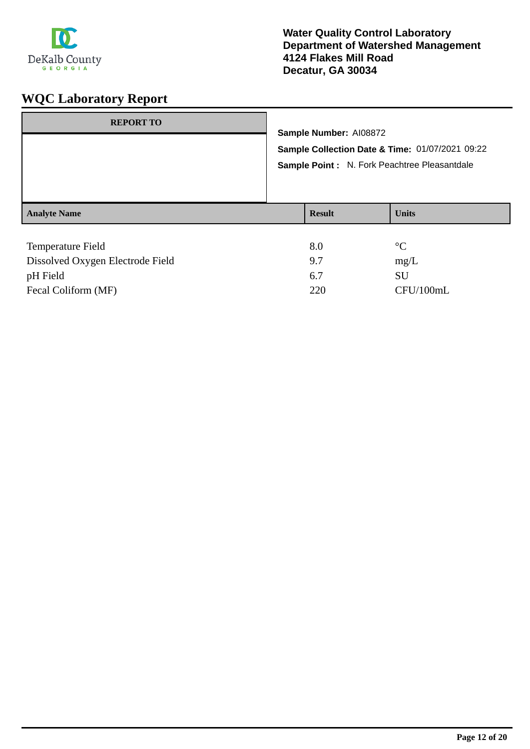

| <b>REPORT TO</b>                    | Sample Number: AI08872<br>Sample Collection Date & Time: 01/07/2021 09:22<br>Sample Point : N. Fork Peachtree Pleasantdale |                         |                 |
|-------------------------------------|----------------------------------------------------------------------------------------------------------------------------|-------------------------|-----------------|
|                                     |                                                                                                                            |                         |                 |
| <b>Analyte Name</b>                 |                                                                                                                            | <b>Result</b>           | <b>Units</b>    |
|                                     |                                                                                                                            |                         |                 |
| Temperature Field                   |                                                                                                                            | 8.0                     | $\rm ^{\circ}C$ |
| $D' = 1$ $D = 10$ $D = 11$ $D = 11$ |                                                                                                                            | $\Omega$ $\overline{a}$ | $\sqrt{ }$      |

| Dissolved Oxygen Electrode Field | 97  | mg/L      |
|----------------------------------|-----|-----------|
| pH Field                         |     | SU.       |
| Fecal Coliform (MF)              | 220 | CFU/100mL |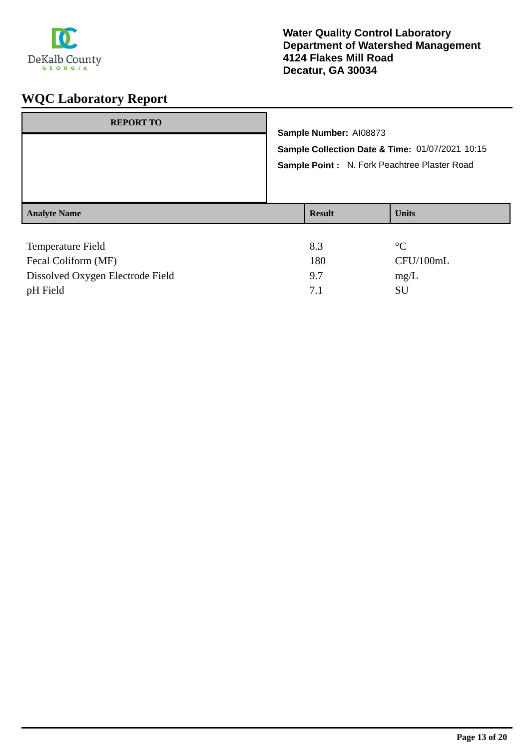

| <b>REPORT TO</b>                                          | Sample Number: AI08873<br>Sample Collection Date & Time: 01/07/2021 10:15<br>Sample Point: N. Fork Peachtree Plaster Road |               |                                                                |
|-----------------------------------------------------------|---------------------------------------------------------------------------------------------------------------------------|---------------|----------------------------------------------------------------|
| <b>Analyte Name</b>                                       |                                                                                                                           | <b>Result</b> | <b>Units</b>                                                   |
| Temperature Field<br>$\Gamma = 1 \cap 1$ 'f $\Lambda$ IEV |                                                                                                                           | 8.3<br>100    | $\rm ^{\circ}C$<br>$\sqrt{N}$ $\sqrt{N}$ $\sqrt{N}$ $\sqrt{N}$ |

| Temperature Field                |     | $\mathcal{C}$ |
|----------------------------------|-----|---------------|
| Fecal Coliform (MF)              | 180 | CFU/100mL     |
| Dissolved Oxygen Electrode Field | 97  | $m\Omega/L$   |
| pH Field                         |     | SU            |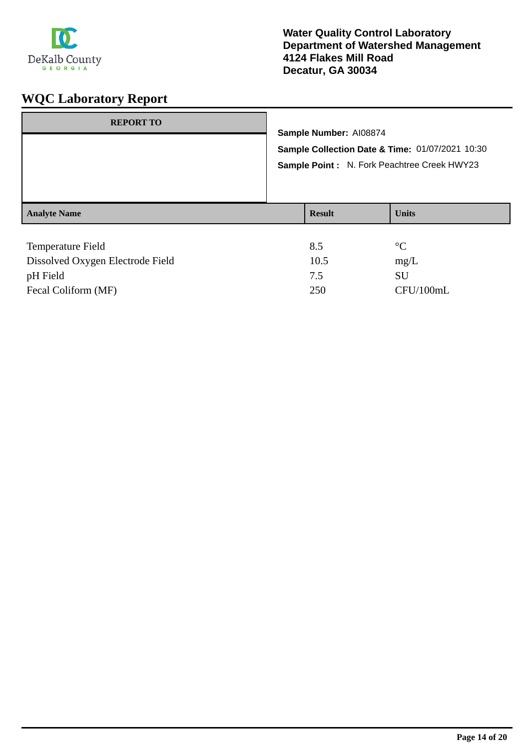

| <b>REPORT TO</b>         |  | Sample Number: AI08874<br>Sample Collection Date & Time: 01/07/2021 10:30<br>Sample Point: N. Fork Peachtree Creek HWY23 |              |
|--------------------------|--|--------------------------------------------------------------------------------------------------------------------------|--------------|
|                          |  |                                                                                                                          |              |
| <b>Analyte Name</b>      |  | <b>Result</b>                                                                                                            | <b>Units</b> |
| <b>Temperature Field</b> |  | 8.5                                                                                                                      | $^{\circ}C$  |

| Dissolved Oxygen Electrode Field | 10.5 | mg/L      |
|----------------------------------|------|-----------|
| pH Field                         |      | SU        |
| Fecal Coliform (MF)              | 250  | CFU/100mL |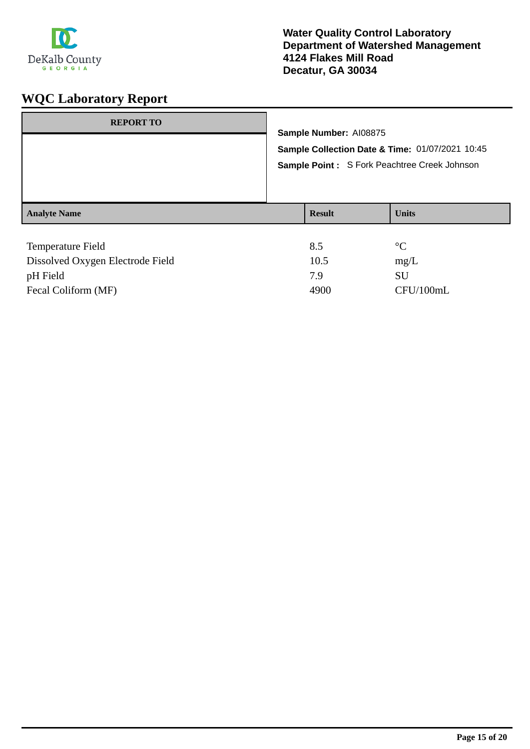

| <b>REPORT TO</b>                 |                                                                                                                           |                 |                 |  |
|----------------------------------|---------------------------------------------------------------------------------------------------------------------------|-----------------|-----------------|--|
|                                  | Sample Number: AI08875<br>Sample Collection Date & Time: 01/07/2021 10:45<br>Sample Point: S Fork Peachtree Creek Johnson |                 |                 |  |
|                                  |                                                                                                                           |                 |                 |  |
|                                  |                                                                                                                           |                 |                 |  |
| <b>Analyte Name</b>              |                                                                                                                           | <b>Result</b>   | <b>Units</b>    |  |
|                                  |                                                                                                                           |                 |                 |  |
| Temperature Field                |                                                                                                                           | 8.5             | $\rm ^{\circ}C$ |  |
| Dissolved Oxygan Flectrode Field |                                                                                                                           | 10 <sub>5</sub> | ma/L            |  |

| Dissolved Oxygen Electrode Field | 10.5 | mg/L      |
|----------------------------------|------|-----------|
| pH Field                         | 7 Q  | SU        |
| Fecal Coliform (MF)              | 4900 | CFU/100mL |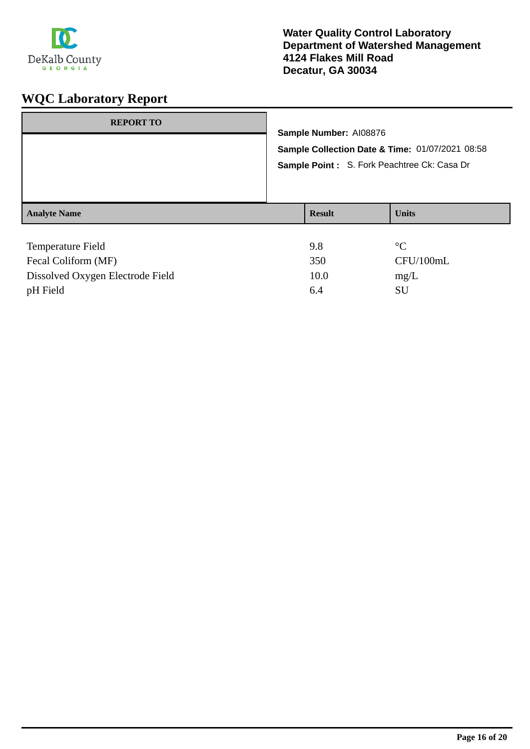

| <b>REPORT TO</b>    |                                                                                                                          |               |                 |
|---------------------|--------------------------------------------------------------------------------------------------------------------------|---------------|-----------------|
|                     | Sample Number: AI08876<br>Sample Collection Date & Time: 01/07/2021 08:58<br>Sample Point: S. Fork Peachtree Ck: Casa Dr |               |                 |
|                     |                                                                                                                          |               |                 |
|                     |                                                                                                                          |               |                 |
|                     |                                                                                                                          |               |                 |
|                     |                                                                                                                          |               |                 |
| <b>Analyte Name</b> |                                                                                                                          | <b>Result</b> | <b>Units</b>    |
|                     |                                                                                                                          |               |                 |
| Temperature Field   |                                                                                                                          | 9.8           | $\rm ^{\circ}C$ |
| Fecal Coliform (MF) |                                                                                                                          | 350           | CFU/100mL       |

Dissolved Oxygen Electrode Field 10.0 mg/L pH Field SU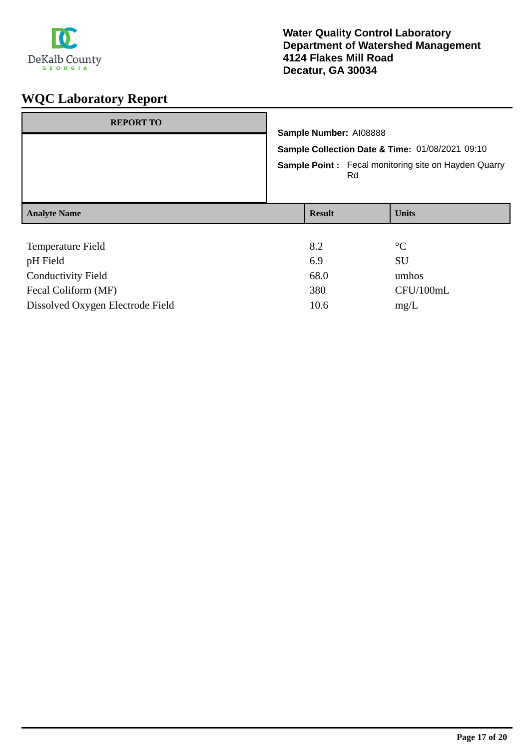

| <b>REPORT TO</b>                 | Sample Number: AI08888<br>Sample Collection Date & Time: 01/08/2021 09:10<br><b>Sample Point:</b> Fecal monitoring site on Hayden Quarry<br>Rd |  |                 |
|----------------------------------|------------------------------------------------------------------------------------------------------------------------------------------------|--|-----------------|
| <b>Analyte Name</b>              | <b>Result</b>                                                                                                                                  |  | <b>Units</b>    |
|                                  |                                                                                                                                                |  |                 |
| Temperature Field                | 8.2                                                                                                                                            |  | $\rm ^{\circ}C$ |
| pH Field                         | 6.9                                                                                                                                            |  | <b>SU</b>       |
| <b>Conductivity Field</b>        | 68.0                                                                                                                                           |  | umhos           |
| Fecal Coliform (MF)              | 380                                                                                                                                            |  | CFU/100mL       |
| Dissolved Oxygen Electrode Field | 10.6                                                                                                                                           |  | mg/L            |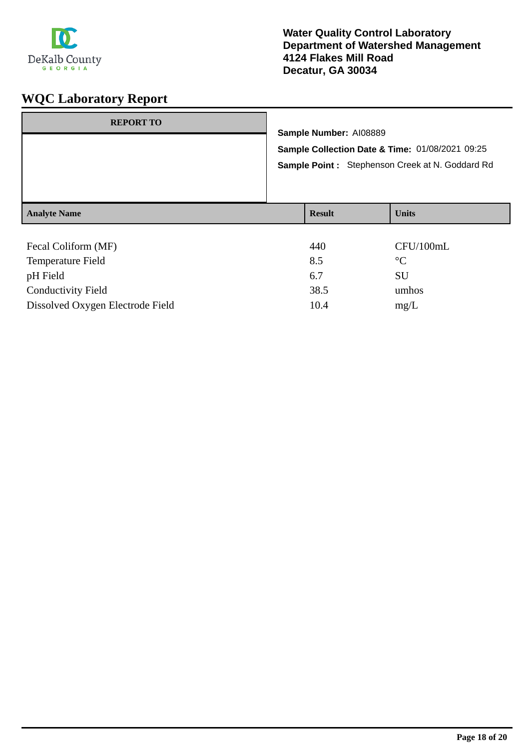

| <b>REPORT TO</b>    |                                                                                                                              |  |              |
|---------------------|------------------------------------------------------------------------------------------------------------------------------|--|--------------|
|                     | Sample Number: AI08889<br>Sample Collection Date & Time: 01/08/2021 09:25<br>Sample Point: Stephenson Creek at N. Goddard Rd |  |              |
|                     |                                                                                                                              |  |              |
|                     |                                                                                                                              |  |              |
| <b>Analyte Name</b> | <b>Result</b>                                                                                                                |  | <b>Units</b> |
| Fecal Coliform (MF) | 440                                                                                                                          |  | CFU/100mL    |

| TTV  | $U$ $U$ is $U$ |
|------|----------------|
| 8.5  | $^{\circ}C$    |
| 6.7  | SU             |
| 38.5 | umhos          |
| 10.4 | mg/L           |
|      |                |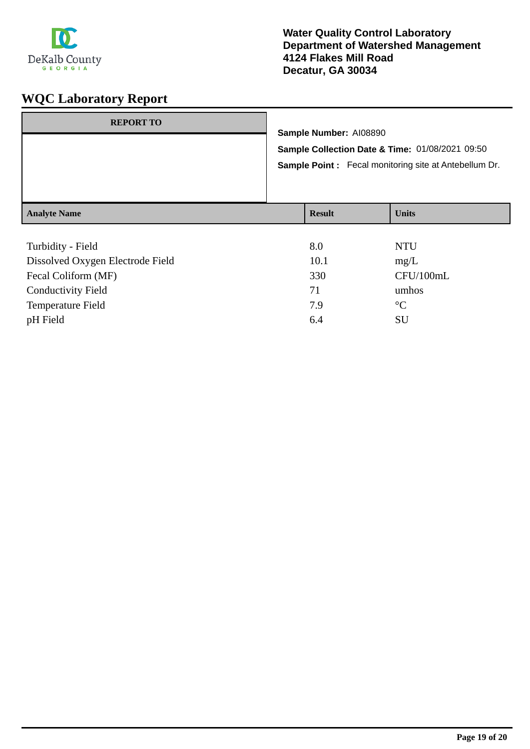

## **Water Quality Control Laboratory Department of Watershed Management 4124 Flakes Mill Road Decatur, GA 30034**

| <b>REPORT TO</b>    |                                                                                                                 | Sample Number: AI08890 |              |
|---------------------|-----------------------------------------------------------------------------------------------------------------|------------------------|--------------|
|                     | Sample Collection Date & Time: 01/08/2021 09:50<br><b>Sample Point:</b> Fecal monitoring site at Antebellum Dr. |                        |              |
| <b>Analyte Name</b> |                                                                                                                 | <b>Result</b>          | <b>Units</b> |

| Turbidity - Field                | 8.0  | <b>NTU</b>      |
|----------------------------------|------|-----------------|
| Dissolved Oxygen Electrode Field | 10.1 | mg/L            |
| Fecal Coliform (MF)              | 330  | CFU/100mL       |
| <b>Conductivity Field</b>        | 71   | umhos           |
| <b>Temperature Field</b>         | 7.9  | $\rm ^{\circ}C$ |
| pH Field                         | 6.4  | <b>SU</b>       |